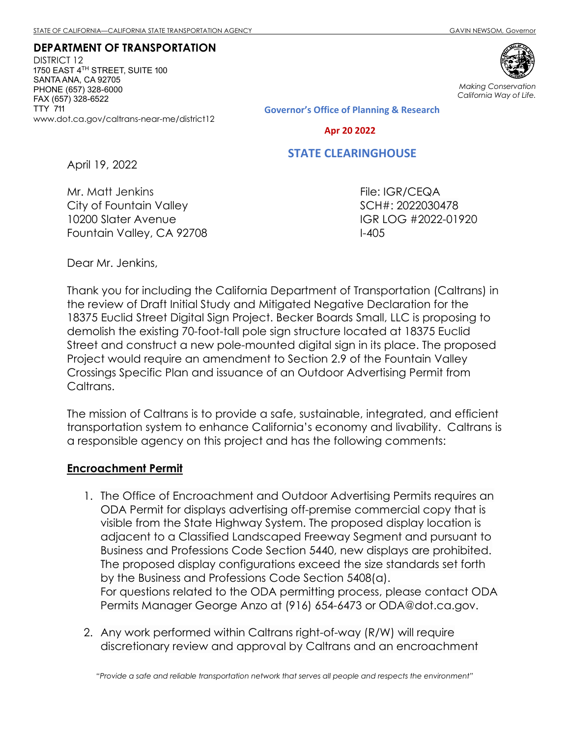DEPARTMENT OF TRANSPORTATION DISTRICT 12 1750 EAST  $4^{\text{\tiny{TH}}}$  STREET, SUITE 100 SANTA ANA, CA 92705 PHONE (657) 328-6000 FAX (657) 328-6522 TTY 711 www.dot.ca.gov/caltrans-near-me/district12



Making Conservation California Way of Life.

**Governor's Office of Planning & Research**

 **Apr 20 2022**

## **STATE CLEARINGHOUSE**

April 19, 2022

Mr. Matt Jenkins City of Fountain Valley 10200 Slater Avenue Fountain Valley, CA 92708

File: IGR/CEQA SCH#: 2022030478 IGR LOG #2022-01920 I-405

Dear Mr. Jenkins,

Thank you for including the California Department of Transportation (Caltrans) in the review of Draft Initial Study and Mitigated Negative Declaration for the 18375 Euclid Street Digital Sign Project. Becker Boards Small, LLC is proposing to demolish the existing 70-foot-tall pole sign structure located at 18375 Euclid Street and construct a new pole-mounted digital sign in its place. The proposed Project would require an amendment to Section 2.9 of the Fountain Valley Crossings Specific Plan and issuance of an Outdoor Advertising Permit from Caltrans.

The mission of Caltrans is to provide a safe, sustainable, integrated, and efficient transportation system to enhance California's economy and livability. Caltrans is a responsible agency on this project and has the following comments:

## Encroachment Permit

- 1. The Office of Encroachment and Outdoor Advertising Permits requires an ODA Permit for displays advertising off-premise commercial copy that is visible from the State Highway System. The proposed display location is adjacent to a Classified Landscaped Freeway Segment and pursuant to Business and Professions Code Section 5440, new displays are prohibited. The proposed display configurations exceed the size standards set forth by the Business and Professions Code Section 5408(a). For questions related to the ODA permitting process, please contact ODA Permits Manager George Anzo at (916) 654-6473 or ODA@dot.ca.gov.
- 2. Any work performed within Caltrans right-of-way (R/W) will require discretionary review and approval by Caltrans and an encroachment